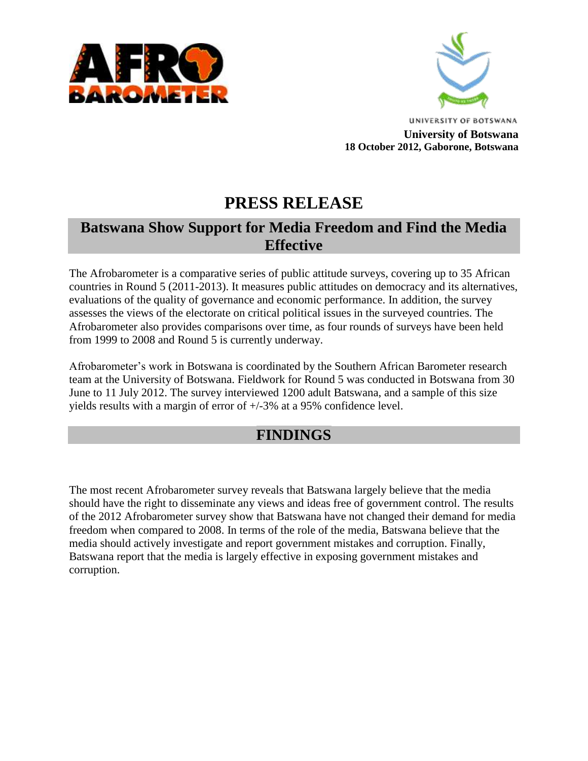



**UNIVERSITY OF BOTSWANA University of Botswana 18 October 2012, Gaborone, Botswana**

# **PRESS RELEASE**

### **Batswana Show Support for Media Freedom and Find the Media Effective**

The Afrobarometer is a comparative series of public attitude surveys, covering up to 35 African countries in Round 5 (2011-2013). It measures public attitudes on democracy and its alternatives, evaluations of the quality of governance and economic performance. In addition, the survey assesses the views of the electorate on critical political issues in the surveyed countries. The Afrobarometer also provides comparisons over time, as four rounds of surveys have been held from 1999 to 2008 and Round 5 is currently underway.

Afrobarometer's work in Botswana is coordinated by the Southern African Barometer research team at the University of Botswana. Fieldwork for Round 5 was conducted in Botswana from 30 June to 11 July 2012. The survey interviewed 1200 adult Batswana, and a sample of this size yields results with a margin of error of +/-3% at a 95% confidence level.

## **FINDINGS**

The most recent Afrobarometer survey reveals that Batswana largely believe that the media should have the right to disseminate any views and ideas free of government control. The results of the 2012 Afrobarometer survey show that Batswana have not changed their demand for media freedom when compared to 2008. In terms of the role of the media, Batswana believe that the media should actively investigate and report government mistakes and corruption. Finally, Batswana report that the media is largely effective in exposing government mistakes and corruption.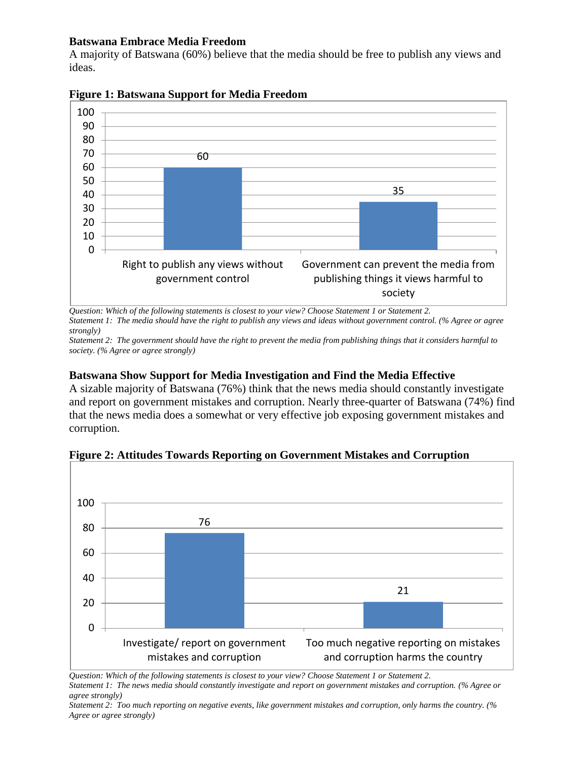#### **Batswana Embrace Media Freedom**

A majority of Batswana (60%) believe that the media should be free to publish any views and ideas.



**Figure 1: Batswana Support for Media Freedom**

*Question: Which of the following statements is closest to your view? Choose Statement 1 or Statement 2. Statement 1: The media should have the right to publish any views and ideas without government control. (% Agree or agree strongly)*

*Statement 2: The government should have the right to prevent the media from publishing things that it considers harmful to society. (% Agree or agree strongly)*

#### **Batswana Show Support for Media Investigation and Find the Media Effective**

A sizable majority of Batswana (76%) think that the news media should constantly investigate and report on government mistakes and corruption. Nearly three-quarter of Batswana (74%) find that the news media does a somewhat or very effective job exposing government mistakes and corruption.



**Figure 2: Attitudes Towards Reporting on Government Mistakes and Corruption**

*Question: Which of the following statements is closest to your view? Choose Statement 1 or Statement 2. Statement 1: The news media should constantly investigate and report on government mistakes and corruption. (% Agree or* 

*agree strongly)*

*Statement 2: Too much reporting on negative events, like government mistakes and corruption, only harms the country. (% Agree or agree strongly)*